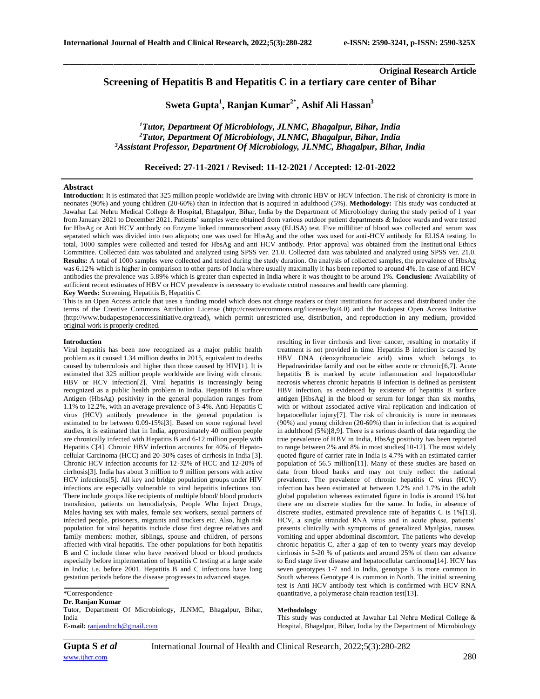# **Original Research Article Screening of Hepatitis B and Hepatitis C in a tertiary care center of Bihar**

**Sweta Gupta<sup>1</sup> , Ranjan Kumar2\* , Ashif Ali Hassan<sup>3</sup>**

\_\_\_\_\_\_\_\_\_\_\_\_\_\_\_\_\_\_\_\_\_\_\_\_\_\_\_\_\_\_\_\_\_\_\_\_\_\_\_\_\_\_\_\_\_\_\_\_\_\_\_\_\_\_\_\_\_\_\_\_\_\_\_\_\_\_\_\_\_\_\_\_\_\_\_\_\_\_\_\_\_\_\_\_\_\_\_\_\_\_\_\_\_\_\_\_\_\_\_\_\_\_\_\_\_\_\_\_\_\_\_\_\_\_\_\_\_\_\_\_\_\_\_\_\_\_\_\_\_\_\_\_\_\_\_\_\_\_\_\_

*<sup>1</sup>Tutor, Department Of Microbiology, JLNMC, Bhagalpur, Bihar, India <sup>2</sup>Tutor, Department Of Microbiology, JLNMC, Bhagalpur, Bihar, India <sup>3</sup>Assistant Professor, Department Of Microbiology, JLNMC, Bhagalpur, Bihar, India*

**Received: 27-11-2021 / Revised: 11-12-2021 / Accepted: 12-01-2022**

# **Abstract**

**Introduction:** It is estimated that 325 million people worldwide are living with chronic HBV or HCV infection. The risk of chronicity is more in neonates (90%) and young children (20-60%) than in infection that is acquired in adulthood (5%). **Methodology:** This study was conducted at Jawahar Lal Nehru Medical College & Hospital, Bhagalpur, Bihar, India by the Department of Microbiology during the study period of 1 year from January 2021 to December 2021. Patients' samples were obtained from various outdoor patient departments & Indoor wards and were tested for HbsAg or Anti HCV antibody on Enzyme linked immunosorbent assay (ELISA) test. Five milliliter of blood was collected and serum was separated which was divided into two aliquots; one was used for HbsAg and the other was used for anti-HCV antibody for ELISA testing. In total, 1000 samples were collected and tested for HbsAg and anti HCV antibody. Prior approval was obtained from the Institutional Ethics Committee. Collected data was tabulated and analyzed using SPSS ver. 21.0. Collected data was tabulated and analyzed using SPSS ver. 21.0. **Results:** A total of 1000 samples were collected and tested during the study duration. On analysis of collected samples, the prevalence of HbsAg was 6.12% which is higher in comparison to other parts of India where usually maximally it has been reported to around 4%. In case of anti HCV antibodies the prevalence was 5.89% which is greater than expected in India where it was thought to be around 1%. **Conclusion:** Availability of sufficient recent estimates of HBV or HCV prevalence is necessary to evaluate control measures and health care planning. **Key Words:** Screening, Hepatitis B, Hepatitis C

This is an Open Access article that uses a funding model which does not charge readers or their institutions for access and distributed under the terms of the Creative Commons Attribution License (http://creativecommons.org/licenses/by/4.0) and the Budapest Open Access Initiative (http://www.budapestopenaccessinitiative.org/read), which permit unrestricted use, distribution, and reproduction in any medium, provided original work is properly credited.

#### **Introduction**

Viral hepatitis has been now recognized as a major public health problem as it caused 1.34 million deaths in 2015, equivalent to deaths caused by tuberculosis and higher than those caused by HIV[1]. It is estimated that 325 million people worldwide are living with chronic HBV or HCV infection<sup>[2]</sup>. Viral hepatitis is increasingly being recognized as a public health problem in India. Hepatitis B surface Antigen (HbsAg) positivity in the general population ranges from 1.1% to 12.2%, with an average prevalence of 3-4%. Anti-Hepatitis C virus (HCV) antibody prevalence in the general population is estimated to be between  $0.09-15\%$ [3]. Based on some regional level studies, it is estimated that in India, approximately 40 million people are chronically infected with Hepatitis B and 6-12 million people with Hepatitis C[4]. Chronic HBV infection accounts for 40% of Hepatocellular Carcinoma (HCC) and 20-30% cases of cirrhosis in India [3]. Chronic HCV infection accounts for 12-32% of HCC and 12-20% of cirrhosis[3]. India has about 3 million to 9 million persons with active HCV infections[5]. All key and bridge population groups under HIV infections are especially vulnerable to viral hepatitis infections too. There include groups like recipients of multiple blood/ blood products transfusion, patients on hemodialysis, People Who Inject Drugs, Males having sex with males, female sex workers, sexual partners of infected people, prisoners, migrants and truckers etc. Also, high risk population for viral hepatitis include close first degree relatives and family members: mother, siblings, spouse and children, of persons affected with viral hepatitis. The other populations for both hepatitis B and C include those who have received blood or blood products especially before implementation of hepatitis C testing at a large scale in India; i.e. before 2001. Hepatitis B and C infections have long gestation periods before the disease progresses to advanced stages

\*Correspondence

#### **Dr. Ranjan Kumar**

Tutor, Department Of Microbiology, JLNMC, Bhagalpur, Bihar, India **E-mail:** [ranjandmch@gmail.com](mailto:ranjandmch@gmail.com)

resulting in liver cirrhosis and liver cancer, resulting in mortality if treatment is not provided in time. Hepatitis B infection is caused by HBV DNA (deoxyribonucleic acid) virus which belongs to Hepadnaviridae family and can be either acute or chronic<sup>[6,7]</sup>. Acute hepatitis B is marked by acute inflammation and hepatocellular necrosis whereas chronic hepatitis B infection is defined as persistent HBV infection, as evidenced by existence of hepatitis B surface antigen [HbsAg] in the blood or serum for longer than six months, with or without associated active viral replication and indication of hepatocellular injury[7]. The risk of chronicity is more in neonates (90%) and young children (20-60%) than in infection that is acquired in adulthood (5%)[8,9]. There is a serious dearth of data regarding the true prevalence of HBV in India, HbsAg positivity has been reported to range between 2% and 8% in most studies[10-12]. The most widely quoted figure of carrier rate in India is 4.7% with an estimated carrier population of 56.5 million[11]. Many of these studies are based on data from blood banks and may not truly reflect the national prevalence. The prevalence of chronic hepatitis C virus (HCV) infection has been estimated at between 1.2% and 1.7% in the adult global population whereas estimated figure in India is around 1% but there are no discrete studies for the same. In India, in absence of discrete studies, estimated prevalence rate of hepatitis C is 1%[13]. HCV, a single stranded RNA virus and in acute phase, patients' presents clinically with symptoms of generalized Myalgias, nausea, vomiting and upper abdominal discomfort. The patients who develop chronic hepatitis C, after a gap of ten to twenty years may develop cirrhosis in 5-20 % of patients and around 25% of them can advance to End stage liver disease and hepatocellular carcinoma[14]. HCV has seven genotypes 1-7 and in India, genotype 3 is more common in South whereas Genotype 4 is common in North. The initial screening test is Anti HCV antibody test which is confirmed with HCV RNA quantitative, a polymerase chain reaction test[13].

# **Methodology**

This study was conducted at Jawahar Lal Nehru Medical College & Hospital, Bhagalpur, Bihar, India by the Department of Microbiology

*\_\_\_\_\_\_\_\_\_\_\_\_\_\_\_\_\_\_\_\_\_\_\_\_\_\_\_\_\_\_\_\_\_\_\_\_\_\_\_\_\_\_\_\_\_\_\_\_\_\_\_\_\_\_\_\_\_\_\_\_\_\_\_\_\_\_\_\_\_\_\_\_\_\_\_\_\_\_\_\_\_\_\_\_\_\_\_\_\_\_\_\_\_\_\_\_\_\_\_\_\_\_\_\_\_\_\_\_\_\_\_\_\_\_\_\_\_\_\_\_\_\_\_\_\_\_\_\_\_\_\_\_\_\_\_\_\_\_\_\_*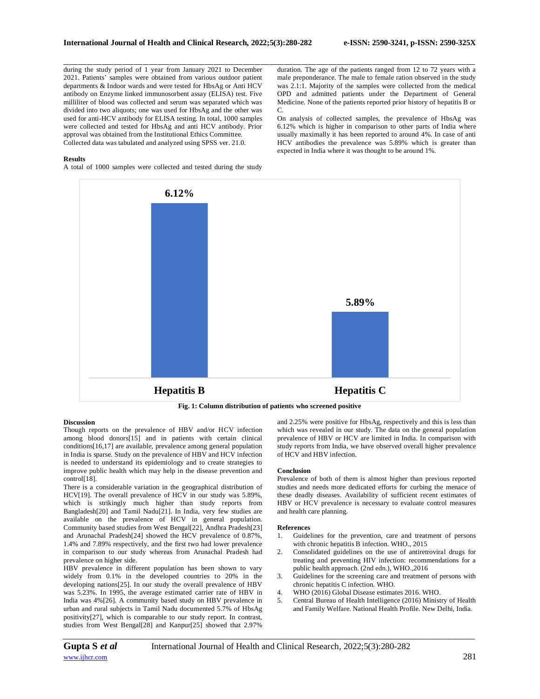during the study period of 1 year from January 2021 to December 2021. Patients' samples were obtained from various outdoor patient departments & Indoor wards and were tested for HbsAg or Anti HCV antibody on Enzyme linked immunosorbent assay (ELISA) test. Five milliliter of blood was collected and serum was separated which was divided into two aliquots; one was used for HbsAg and the other was used for anti-HCV antibody for ELISA testing. In total, 1000 samples were collected and tested for HbsAg and anti HCV antibody. Prior approval was obtained from the Institutional Ethics Committee. Collected data was tabulated and analyzed using SPSS ver. 21.0.

## **Results**

A total of 1000 samples were collected and tested during the study

duration. The age of the patients ranged from 12 to 72 years with a male preponderance. The male to female ration observed in the study was 2.1:1. Majority of the samples were collected from the medical OPD and admitted patients under the Department of General Medicine. None of the patients reported prior history of hepatitis B or  $\Gamma$ 

On analysis of collected samples, the prevalence of HbsAg was 6.12% which is higher in comparison to other parts of India where usually maximally it has been reported to around 4%. In case of anti HCV antibodies the prevalence was 5.89% which is greater than expected in India where it was thought to be around 1%.



\_\_\_\_\_\_\_\_\_\_\_\_\_\_\_\_\_\_\_\_\_\_\_\_\_\_\_\_\_\_\_\_\_\_\_\_\_\_\_\_\_\_\_\_\_\_\_\_\_\_\_\_\_\_\_\_\_\_\_\_\_\_\_\_\_\_\_\_\_\_\_\_\_\_\_\_\_\_\_\_\_\_\_\_\_\_\_\_\_\_\_\_\_\_\_\_\_\_\_\_\_\_\_\_\_\_\_\_\_\_\_\_\_\_\_\_\_\_\_\_\_\_\_\_\_\_\_\_\_\_\_\_\_\_\_\_\_\_\_\_

### **Discussion**

Though reports on the prevalence of HBV and/or HCV infection among blood donors[15] and in patients with certain clinical conditions[16,17] are available, prevalence among general population in India is sparse. Study on the prevalence of HBV and HCV infection is needed to understand its epidemiology and to create strategies to improve public health which may help in the disease prevention and control<sup>[18]</sup>.

There is a considerable variation in the geographical distribution of HCV[19]. The overall prevalence of HCV in our study was 5.89%, which is strikingly much higher than study reports from Bangladesh[20] and Tamil Nadu[21]. In India, very few studies are available on the prevalence of HCV in general population. Community based studies from West Bengal[22], Andhra Pradesh[23] and Arunachal Pradesh[24] showed the HCV prevalence of 0.87%, 1.4% and 7.89% respectively, and the first two had lower prevalence in comparison to our study whereas from Arunachal Pradesh had prevalence on higher side.

HBV prevalence in different population has been shown to vary widely from 0.1% in the developed countries to 20% in the developing nations[25]. In our study the overall prevalence of HBV was 5.23%. In 1995, the average estimated carrier rate of HBV in India was 4%[26]. A community based study on HBV prevalence in urban and rural subjects in Tamil Nadu documented 5.7% of HbsAg positivity[27], which is comparable to our study report. In contrast, studies from West Bengal[28] and Kanpur[25] showed that 2.97%

and 2.25% were positive for HbsAg, respectively and this is less than which was revealed in our study. The data on the general population prevalence of HBV or HCV are limited in India. In comparison with study reports from India, we have observed overall higher prevalence of HCV and HBV infection.

### **Conclusion**

Prevalence of both of them is almost higher than previous reported studies and needs more dedicated efforts for curbing the menace of these deadly diseases. Availability of sufficient recent estimates of HBV or HCV prevalence is necessary to evaluate control measures and health care planning.

### **References**

- 1. Guidelines for the prevention, care and treatment of persons with chronic hepatitis B infection. WHO., 2015
- 2. Consolidated guidelines on the use of antiretroviral drugs for treating and preventing HIV infection: recommendations for a public health approach. (2nd edn.), WHO.,2016
- 3. Guidelines for the screening care and treatment of persons with chronic hepatitis C infection. WHO.
- 4. WHO (2016) Global Disease estimates 2016. WHO.
- 5. Central Bureau of Health Intelligence (2016) Ministry of Health and Family Welfare. National Health Profile. New Delhi, India.

*\_\_\_\_\_\_\_\_\_\_\_\_\_\_\_\_\_\_\_\_\_\_\_\_\_\_\_\_\_\_\_\_\_\_\_\_\_\_\_\_\_\_\_\_\_\_\_\_\_\_\_\_\_\_\_\_\_\_\_\_\_\_\_\_\_\_\_\_\_\_\_\_\_\_\_\_\_\_\_\_\_\_\_\_\_\_\_\_\_\_\_\_\_\_\_\_\_\_\_\_\_\_\_\_\_\_\_\_\_\_\_\_\_\_\_\_\_\_\_\_\_\_\_\_\_\_\_\_\_\_\_\_\_\_\_\_\_\_\_\_*